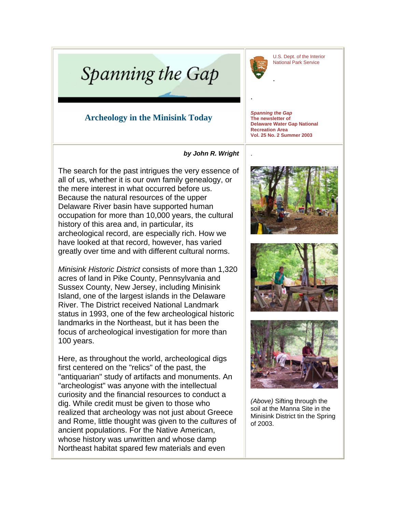U.S. Dept. of the Interior National Park Service



.

.

## Spanning the Gap

## **Archeology in the Minisink Today**

*Spanning the Gap* **The newsletter of Delaware Water Gap National Recreation Area Vol. 25 No. 2 Summer 2003**

.

## *by John R. Wright*

The search for the past intrigues the very essence of all of us, whether it is our own family genealogy, or the mere interest in what occurred before us. Because the natural resources of the upper Delaware River basin have supported human occupation for more than 10,000 years, the cultural history of this area and, in particular, its archeological record, are especially rich. How we have looked at that record, however, has varied greatly over time and with different cultural norms.

*Minisink Historic District* consists of more than 1,320 acres of land in Pike County, Pennsylvania and Sussex County, New Jersey, including Minisink Island, one of the largest islands in the Delaware River. The District received National Landmark status in 1993, one of the few archeological historic landmarks in the Northeast, but it has been the focus of archeological investigation for more than 100 years.

Here, as throughout the world, archeological digs first centered on the "relics" of the past, the "antiquarian" study of artifacts and monuments. An "archeologist" was anyone with the intellectual curiosity and the financial resources to conduct a dig. While credit must be given to those who realized that archeology was not just about Greece and Rome, little thought was given to the *cultures* of ancient populations. For the Native American, whose history was unwritten and whose damp Northeast habitat spared few materials and even







*(Above)* Sifting through the soil at the Manna Site in the Minisink District tin the Spring of 2003.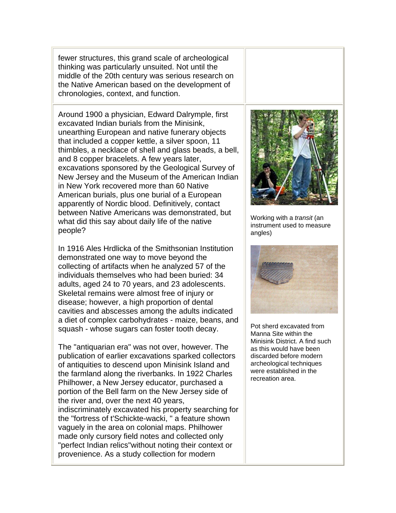fewer structures, this grand scale of archeological thinking was particularly unsuited. Not until the middle of the 20th century was serious research on the Native American based on the development of chronologies, context, and function.

Around 1900 a physician, Edward Dalrymple, first excavated Indian burials from the Minisink, unearthing European and native funerary objects that included a copper kettle, a silver spoon, 11 thimbles, a necklace of shell and glass beads, a bell, and 8 copper bracelets. A few years later, excavations sponsored by the Geological Survey of New Jersey and the Museum of the American Indian in New York recovered more than 60 Native American burials, plus one burial of a European apparently of Nordic blood. Definitively, contact between Native Americans was demonstrated, but what did this say about daily life of the native people?

In 1916 Ales Hrdlicka of the Smithsonian Institution demonstrated one way to move beyond the collecting of artifacts when he analyzed 57 of the individuals themselves who had been buried: 34 adults, aged 24 to 70 years, and 23 adolescents. Skeletal remains were almost free of injury or disease; however, a high proportion of dental cavities and abscesses among the adults indicated a diet of complex carbohydrates - maize, beans, and squash - whose sugars can foster tooth decay.

The "antiquarian era" was not over, however. The publication of earlier excavations sparked collectors of antiquities to descend upon Minisink Island and the farmland along the riverbanks. In 1922 Charles Philhower, a New Jersey educator, purchased a portion of the Bell farm on the New Jersey side of the river and, over the next 40 years, indiscriminately excavated his property searching for the "fortress of t'Schickte-wacki, " a feature shown vaguely in the area on colonial maps. Philhower made only cursory field notes and collected only "perfect Indian relics"without noting their context or provenience. As a study collection for modern



Working with a *transit* (an instrument used to measure angles)



Pot sherd excavated from Manna Site within the Minisink District. A find such as this would have been discarded before modern archeological techniques were established in the recreation area.